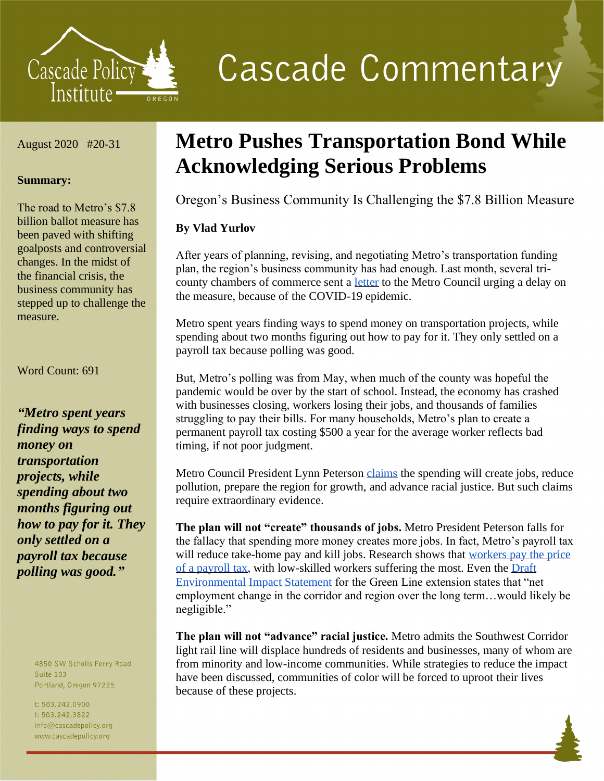

**Cascade Commentary** 

August 2020 #20-31

### **Summary:**

The road to Metro's \$7.8 billion ballot measure has been paved with shifting goalposts and controversial changes. In the midst of the financial crisis, the business community has stepped up to challenge the measure.

Word Count: 691

*"Metro spent years finding ways to spend money on transportation projects, while spending about two months figuring out how to pay for it. They only settled on a payroll tax because polling was good."*

> 4850 SW Scholls Ferry Road **Suite 103** Portland, Oregon 97225

t: 503.242.0900 f: 503.242.3822 info@cascadepolicy.org www.cascadepolicy.org

# **Metro Pushes Transportation Bond While Acknowledging Serious Problems**

Oregon's Business Community Is Challenging the \$7.8 Billion Measure

# **By Vlad Yurlov**

After years of planning, revising, and negotiating Metro's transportation funding plan, the region's business community has had enough. Last month, several tricounty chambers of commerce sent a [letter](https://pamplinmedia.com/documents/artdocs/00003677065334-0644.pdf) to the Metro Council urging a delay on the measure, because of the COVID-19 epidemic.

Metro spent years finding ways to spend money on transportation projects, while spending about two months figuring out how to pay for it. They only settled on a payroll tax because polling was good.

But, Metro's polling was from May, when much of the county was hopeful the pandemic would be over by the start of school. Instead, the economy has crashed with businesses closing, workers losing their jobs, and thousands of families struggling to pay their bills. For many households, Metro's plan to create a permanent payroll tax costing \$500 a year for the average worker reflects bad timing, if not poor judgment.

Metro Council President Lynn Peterson [claims](https://pamplinmedia.com/documents/artdocs/00003677151794-0644.pdf) the spending will create jobs, reduce pollution, prepare the region for growth, and advance racial justice. But such claims require extraordinary evidence.

**The plan will not "create" thousands of jobs.** Metro President Peterson falls for the fallacy that spending more money creates more jobs. In fact, Metro's payroll tax will reduce take-home pay and kill jobs. Research shows that workers pay the price [of a payroll tax,](https://www.nber.org/papers/w26640) with low-skilled workers suffering the most. Even the [Draft](https://www.oregonmetro.gov/sites/default/files/2018/06/22/SWCorridorDEIS_All-Chapters.pdf)  [Environmental Impact Statement](https://www.oregonmetro.gov/sites/default/files/2018/06/22/SWCorridorDEIS_All-Chapters.pdf) for the Green Line extension states that "net employment change in the corridor and region over the long term…would likely be negligible."

**The plan will not "advance" racial justice.** Metro admits the Southwest Corridor light rail line will displace hundreds of residents and businesses, many of whom are from minority and low-income communities. While strategies to reduce the impact have been discussed, communities of color will be forced to uproot their lives because of these projects.